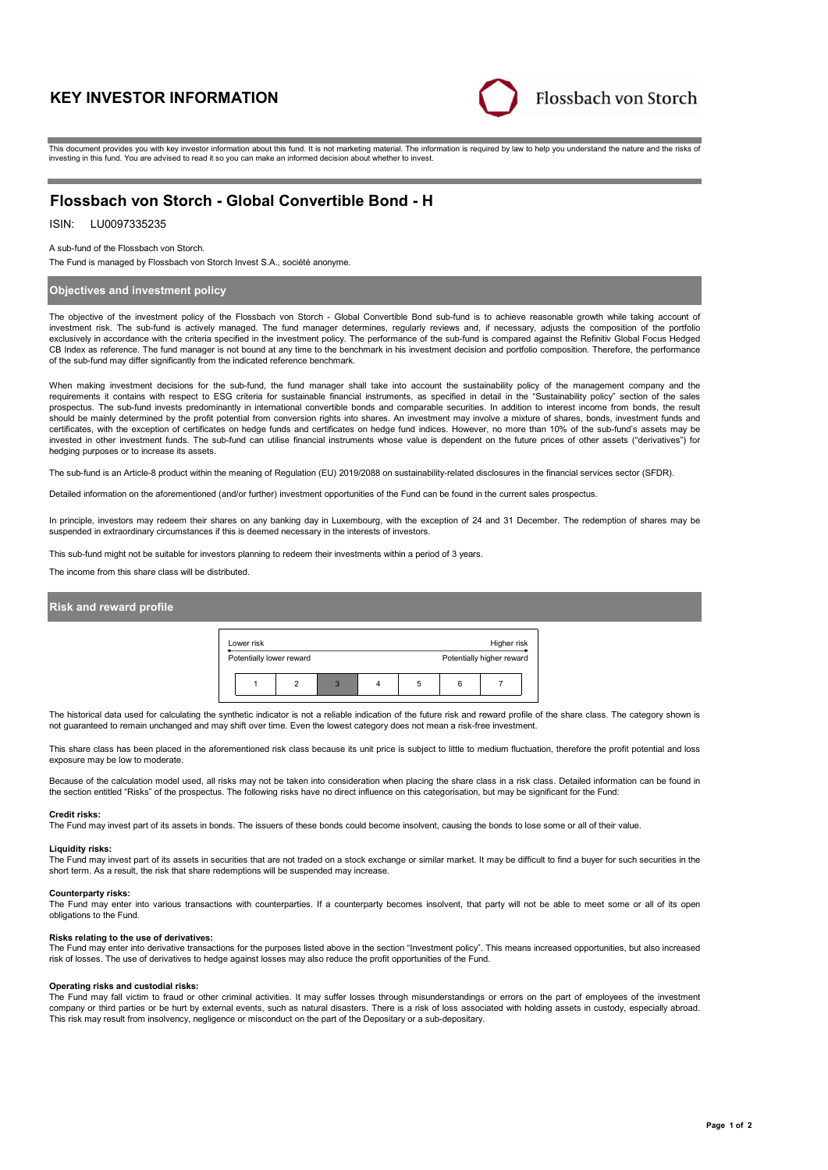# **KEY INVESTOR INFORMATION**



This document provides you with key investor information about this fund. It is not marketing material. The information is required by law to help you understand the nature and the risks of investing in this fund. You are advised to read it so you can make an informed decision about whether to invest.

# **Flossbach von Storch - Global Convertible Bond - H**

## ISIN: LU0097335235

A sub-fund of the Flossbach von Storch.

The Fund is managed by Flossbach von Storch Invest S.A., société anonyme.

## **Objectives and investment policy**

The objective of the investment policy of the Flossbach von Storch - Global Convertible Bond sub-fund is to achieve reasonable growth while taking account of investment risk. The sub-fund is actively managed. The fund manager determines, regularly reviews and, if necessary, adjusts the composition of the portfolio exclusively in accordance with the criteria specified in the investment policy. The performance of the sub-fund is compared against the Refinitiv Global Focus Hedged CB Index as reference. The fund manager is not bound at any time to the benchmark in his investment decision and portfolio composition. Therefore, the performance of the sub-fund may differ significantly from the indicated reference benchmark.

When making investment decisions for the sub-fund, the fund manager shall take into account the sustainability policy of the management company and the requirements it contains with respect to ESG criteria for sustainable financial instruments, as specified in detail in the "Sustainability policy" section of the sales prospectus. The sub-fund invests predominantly in international convertible bonds and comparable securities. In addition to interest income from bonds, the result should be mainly determined by the profit potential from conversion rights into shares. An investment may involve a mixture of shares, bonds, investment funds and certificates, with the exception of certificates on hedge funds and certificates on hedge fund indices. However, no more than 10% of the sub-fund's assets may be invested in other investment funds. The sub-fund can utilise financial instruments whose value is dependent on the future prices of other assets ("derivatives") for hedging purposes or to increase its assets.

The sub-fund is an Article-8 product within the meaning of Regulation (EU) 2019/2088 on sustainability-related disclosures in the financial services sector (SFDR).

Detailed information on the aforementioned (and/or further) investment opportunities of the Fund can be found in the current sales prospectus.

In principle, investors may redeem their shares on any banking day in Luxembourg, with the exception of 24 and 31 December. The redemption of shares may be<br>suspended in extraordinary circumstances if this is deemed necessa

This sub-fund might not be suitable for investors planning to redeem their investments within a period of 3 years.

The income from this share class will be distributed.

## **Risk and reward profile**



The historical data used for calculating the synthetic indicator is not a reliable indication of the future risk and reward profile of the share class. The category shown is not guaranteed to remain unchanged and may shift over time. Even the lowest category does not mean a risk-free investment.

This share class has been placed in the aforementioned risk class because its unit price is subject to little to medium fluctuation, therefore the profit potential and loss exposure may be low to moderate.

Because of the calculation model used, all risks may not be taken into consideration when placing the share class in a risk class. Detailed information can be found in the section entitled "Risks" of the prospectus. The following risks have no direct influence on this categorisation, but may be significant for the Fund:

## **Credit risks:**

The Fund may invest part of its assets in bonds. The issuers of these bonds could become insolvent, causing the bonds to lose some or all of their value.

#### **Liquidity risks:**

The Fund may invest part of its assets in securities that are not traded on a stock exchange or similar market. It may be difficult to find a buyer for such securities in the short term. As a result, the risk that share redemptions will be suspended may increase.

#### **Counterparty risks:**

The Fund may enter into various transactions with counterparties. If a counterparty becomes insolvent, that party will not be able to meet some or all of its open obligations to the Fund.

#### **Risks relating to the use of derivatives:**

The Fund may enter into derivative transactions for the purposes listed above in the section "Investment policy". This means increased opportunities, but also increased risk of losses. The use of derivatives to hedge against losses may also reduce the profit opportunities of the Fund.

#### **Operating risks and custodial risks:**

The Fund may fall victim to fraud or other criminal activities. It may suffer losses through misunderstandings or errors on the part of employees of the investment company or third parties or be hurt by external events, such as natural disasters. There is a risk of loss associated with holding assets in custody, especially abroad. This risk may result from insolvency, negligence or misconduct on the part of the Depositary or a sub-depositary.